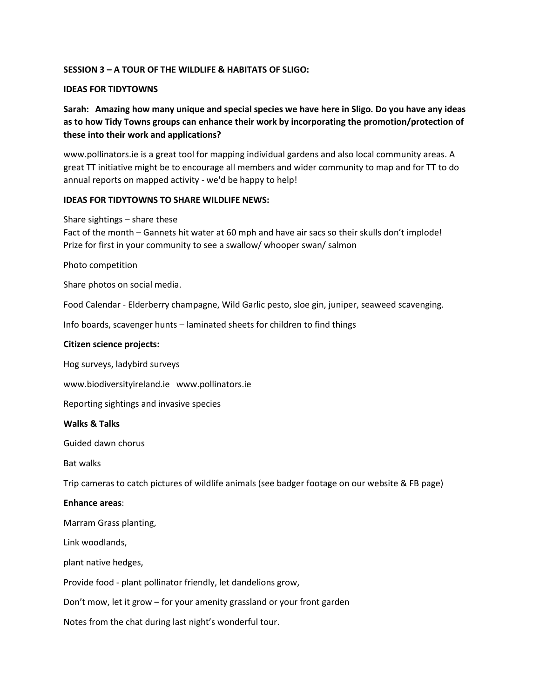# **SESSION 3 – A TOUR OF THE WILDLIFE & HABITATS OF SLIGO:**

## **IDEAS FOR TIDYTOWNS**

# **Sarah: Amazing how many unique and special species we have here in Sligo. Do you have any ideas as to how Tidy Towns groups can enhance their work by incorporating the promotion/protection of these into their work and applications?**

www.pollinators.ie is a great tool for mapping individual gardens and also local community areas. A great TT initiative might be to encourage all members and wider community to map and for TT to do annual reports on mapped activity - we'd be happy to help!

## **IDEAS FOR TIDYTOWNS TO SHARE WILDLIFE NEWS:**

## Share sightings – share these

Fact of the month – Gannets hit water at 60 mph and have air sacs so their skulls don't implode! Prize for first in your community to see a swallow/ whooper swan/ salmon

Photo competition

Share photos on social media.

Food Calendar - Elderberry champagne, Wild Garlic pesto, sloe gin, juniper, seaweed scavenging.

Info boards, scavenger hunts – laminated sheets for children to find things

# **Citizen science projects:**

Hog surveys, ladybird surveys

www.biodiversityireland.ie www.pollinators.ie

Reporting sightings and invasive species

## **Walks & Talks**

Guided dawn chorus

Bat walks

Trip cameras to catch pictures of wildlife animals (see badger footage on our website & FB page)

## **Enhance areas**:

Marram Grass planting,

Link woodlands,

plant native hedges,

Provide food - plant pollinator friendly, let dandelions grow,

Don't mow, let it grow – for your amenity grassland or your front garden

Notes from the chat during last night's wonderful tour.